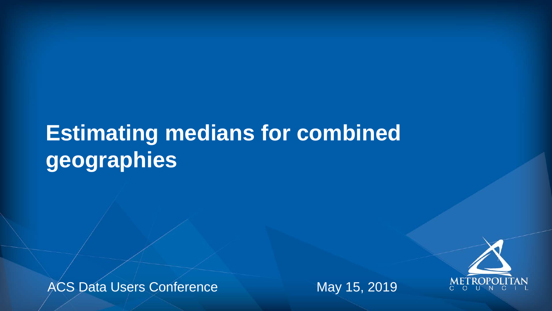## **Estimating medians for combined geographies**

ACS Data Users Conference May 15, 2019





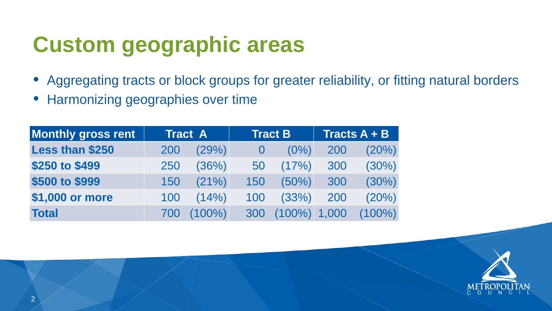### • Aggregating tracts or block groups for greater reliability, or fitting natural borders





- 
- Harmonizing geographies over time

# **Custom geographic areas**

| <b>Monthly gross rent</b> |     | <b>Tract A</b> |     | <b>Tract B</b>  |     | <b>Tracts A + B</b> |
|---------------------------|-----|----------------|-----|-----------------|-----|---------------------|
| <b>Less than \$250</b>    | 200 | (29%)          |     | $(0\%)$         | 200 | (20%)               |
| \$250 to \$499            | 250 | (36%)          | 50  | (17%)           | 300 | (30%)               |
| \$500 to \$999            | 150 | $(21\%)$       | 150 | $(50\%)$        | 300 | (30%)               |
| \$1,000 or more           | 100 | (14%)          | 100 | (33%)           | 200 | (20%)               |
| <b>Total</b>              | 700 | $(100\%)$      | 300 | $(100\%)$ 1,000 |     | $(100\%)$           |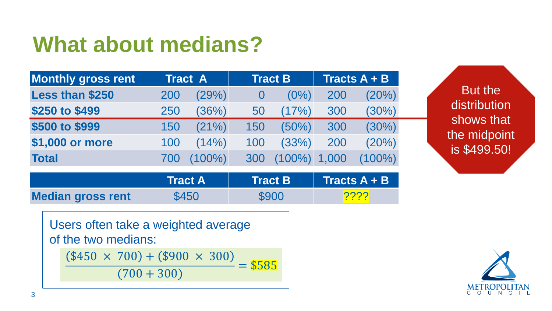

 $\text{Tract } B$   $\text{Tracts } A + B$ 

### **What about medians?**

|                          | <b>Tract A</b> | <b>Tract B</b> | Tracts A |
|--------------------------|----------------|----------------|----------|
| <b>Median gross rent</b> | \$450          | <b>\$900</b>   | 2222     |

Users often take a weighted average of the two medians:  $($450 \times 700) + ($900 \times 300)$  $(700 + 300)$  $=$  \$585

| <b>Monthly gross rent</b> |     | <b>Tract A</b> |     | <b>Tract B</b>  |     | <b>Tracts A + B</b> |
|---------------------------|-----|----------------|-----|-----------------|-----|---------------------|
| <b>Less than \$250</b>    | 200 | (29%)          |     | $(0\%)$         | 200 | (20%)               |
| \$250 to \$499            | 250 | (36%)          | 50  | (17%)           | 300 | (30%)               |
| \$500 to \$999            | 150 | (21%)          | 150 | $(50\%)$        | 300 | (30%)               |
| \$1,000 or more           | 100 | (14% )         | 100 | (33%)           | 200 | (20%)               |
| <b>Total</b>              | 700 | $(100\%)$      | 300 | $(100\%)$ 1,000 |     | $(100\%)$           |

But the distribution shows that the midpoint is \$499.50!



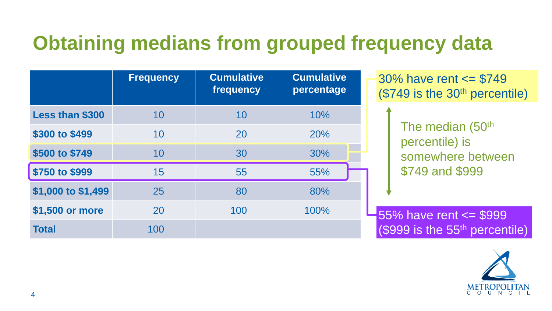### **Obtaining medians from grouped frequency data**

|                        | <b>Frequency</b> | <b>Cumulative</b><br>frequency | <b>Cumulative</b><br>percentage |
|------------------------|------------------|--------------------------------|---------------------------------|
| <b>Less than \$300</b> | 10               | 10                             | 10%                             |
| \$300 to \$499         | 10               | 20                             | 20%                             |
| \$500 to \$749         | 10               | 30                             | 30%                             |
| \$750 to \$999         | 15               | 55                             | 55%                             |
| \$1,000 to \$1,499     | 25               | 80                             | 80%                             |
| \$1,500 or more        | 20               | 100                            | 100%                            |
| <b>Total</b>           | 100              |                                |                                 |

 $55\%$  have rent  $\le$  \$999 (\$999 is the 55th percentile)







The median (50<sup>th</sup> percentile) is somewhere between \$749 and \$999

30% have rent <= \$749 (\$749 is the 30th percentile)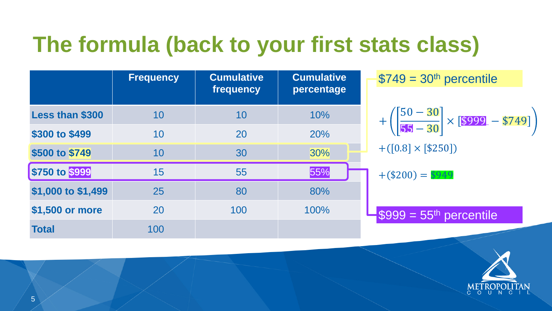

 $$749 = 30<sup>th</sup>$  percentile

|                        | <b>Frequency</b> | <b>Cumulative</b><br>frequency | <b>Cumulative</b><br>percentage |
|------------------------|------------------|--------------------------------|---------------------------------|
| <b>Less than \$300</b> | 10               | 10                             | 10%                             |
| \$300 to \$499         | 10               | 20                             | 20%                             |
| \$500 to \$749         | 10               | 30                             | 30%                             |
| \$750 to \$999         | 15               | 55                             | 55%                             |
| \$1,000 to \$1,499     | 25               | 80                             | 80%                             |
| \$1,500 or more        | 20               | 100                            | 100%                            |
| <b>Total</b>           | 100              |                                |                                 |

# **The formula (back to your first stats class)**

$$
+\left(\frac{50-30}{55-30}\right) \times \left[\frac{$999-\$74}{\$74}\right]
$$
  
+
$$
+\left(\left[0.8\right] \times \left[\frac{$250}{\$250}\right]\right)
$$





$$
+(\$200) = \$949
$$

 $-$ \$999 = 55<sup>th</sup> percentile

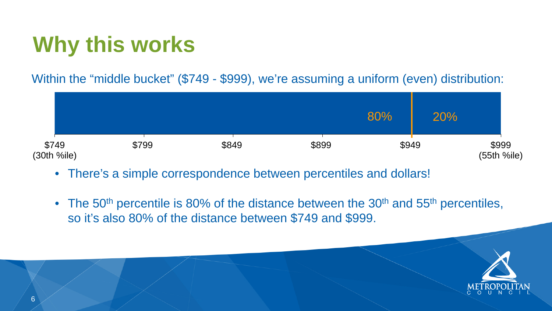







# **Why this works**

#### Within the "middle bucket" (\$749 - \$999), we're assuming a uniform (even) distribution:

|       |       |       | 80%   | 20% |                    |
|-------|-------|-------|-------|-----|--------------------|
| \$799 | \$849 | \$899 | \$949 |     | \$999<br>(55th %il |

- There's a simple correspondence between percentiles and dollars!
- The 50<sup>th</sup> percentile is 80% of the distance between the 30<sup>th</sup> and 55<sup>th</sup> percentiles, so it's also 80% of the distance between \$749 and \$999.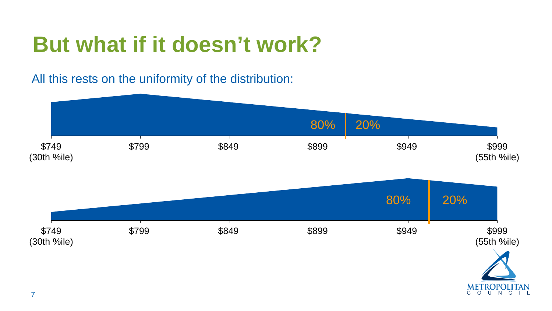7



## **But what if it doesn't work?**



All this rests on the uniformity of the distribution: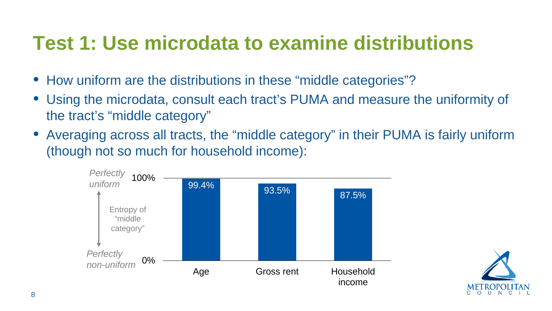



### **Test 1: Use microdata to examine distributions**

- How uniform are the distributions in these "middle categories"? • Using the microdata, consult each tract's PUMA and measure the uniformity of
- the tract's "middle category"
- Averaging across all tracts, the "middle category" in their PUMA is fairly uniform (though not so much for household income):

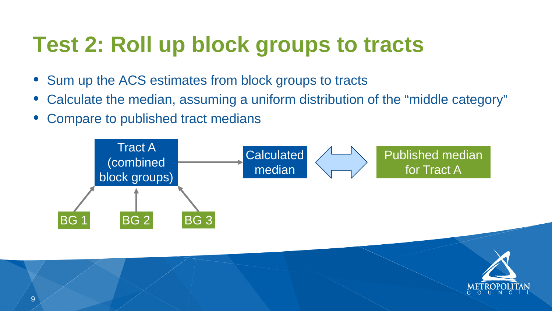

- Sum up the ACS estimates from block groups to tracts
- Calculate the median, assuming a uniform distribution of the "middle category"
- Compare to published tract medians

# **Test 2: Roll up block groups to tracts**

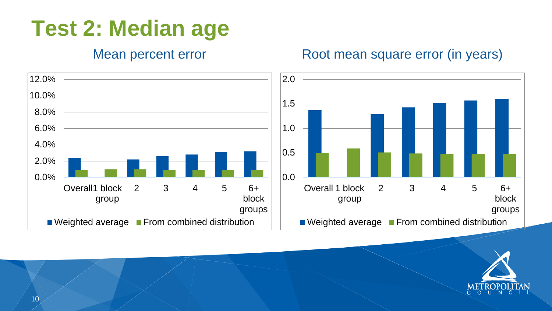

### **Test 2: Median age**

#### Mean percent error

#### Root mean square error (in years)



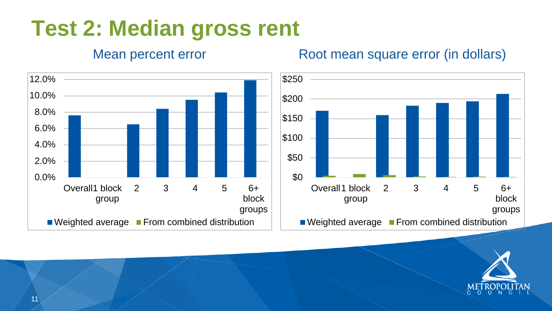



## **Test 2: Median gross rent**

#### Mean percent error

#### Root mean square error (in dollars)



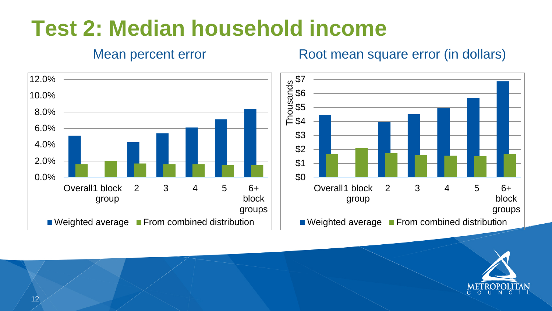![](_page_11_Picture_3.jpeg)

## **Test 2: Median household income**

#### Mean percent error

#### Root mean square error (in dollars)

![](_page_11_Picture_5.jpeg)

![](_page_11_Figure_2.jpeg)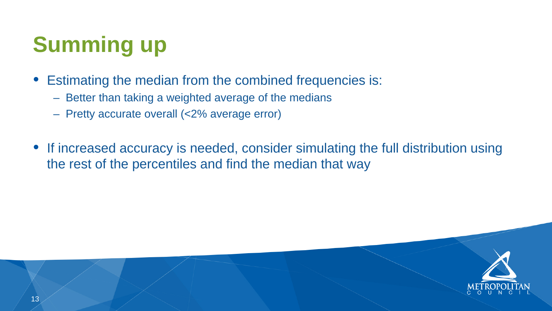![](_page_12_Picture_6.jpeg)

![](_page_12_Picture_7.jpeg)

- 
- Estimating the median from the combined frequencies is: – Better than taking a weighted average of the medians – Pretty accurate overall (<2% average error)
- 
- If increased accuracy is needed, consider simulating the full distribution using the rest of the percentiles and find the median that way

# **Summing up**